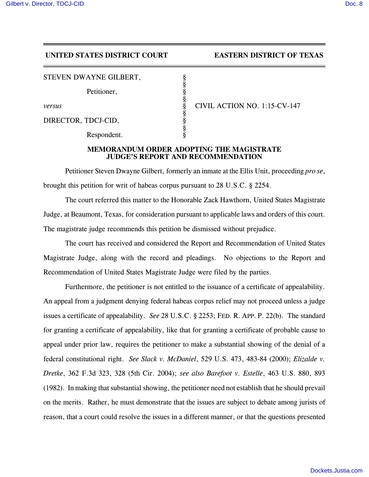## **UNITED STATES DISTRICT COURT EASTERN DISTRICT OF TEXAS**

STEVEN DWAYNE GILBERT,

Petitioner,

DIRECTOR, TDCJ-CID,

Respondent.

*versus* § CIVIL ACTION NO. 1:15-CV-147

## **MEMORANDUM ORDER ADOPTING THE MAGISTRATE JUDGE'S REPORT AND RECOMMENDATION**

§

§

§

§

Petitioner Steven Dwayne Gilbert, formerly an inmate at the Ellis Unit, proceeding *pro se*, brought this petition for writ of habeas corpus pursuant to 28 U.S.C. § 2254.

The court referred this matter to the Honorable Zack Hawthorn, United States Magistrate Judge, at Beaumont, Texas, for consideration pursuant to applicable laws and orders of this court. The magistrate judge recommends this petition be dismissed without prejudice.

The court has received and considered the Report and Recommendation of United States Magistrate Judge, along with the record and pleadings. No objections to the Report and Recommendation of United States Magistrate Judge were filed by the parties.

Furthermore, the petitioner is not entitled to the issuance of a certificate of appealability. An appeal from a judgment denying federal habeas corpus relief may not proceed unless a judge issues a certificate of appealability. *See* 28 U.S.C. § 2253; FED. R. APP. P. 22(b). The standard for granting a certificate of appealability, like that for granting a certificate of probable cause to appeal under prior law, requires the petitioner to make a substantial showing of the denial of a federal constitutional right. *See Slack v. McDaniel*, 529 U.S. 473, 483-84 (2000); *Elizalde v. Dretke*, 362 F.3d 323, 328 (5th Cir. 2004); *see also Barefoot v. Estelle*, 463 U.S. 880, 893 (1982). In making that substantial showing, the petitioner need not establish that he should prevail on the merits. Rather, he must demonstrate that the issues are subject to debate among jurists of reason, that a court could resolve the issues in a different manner, or that the questions presented